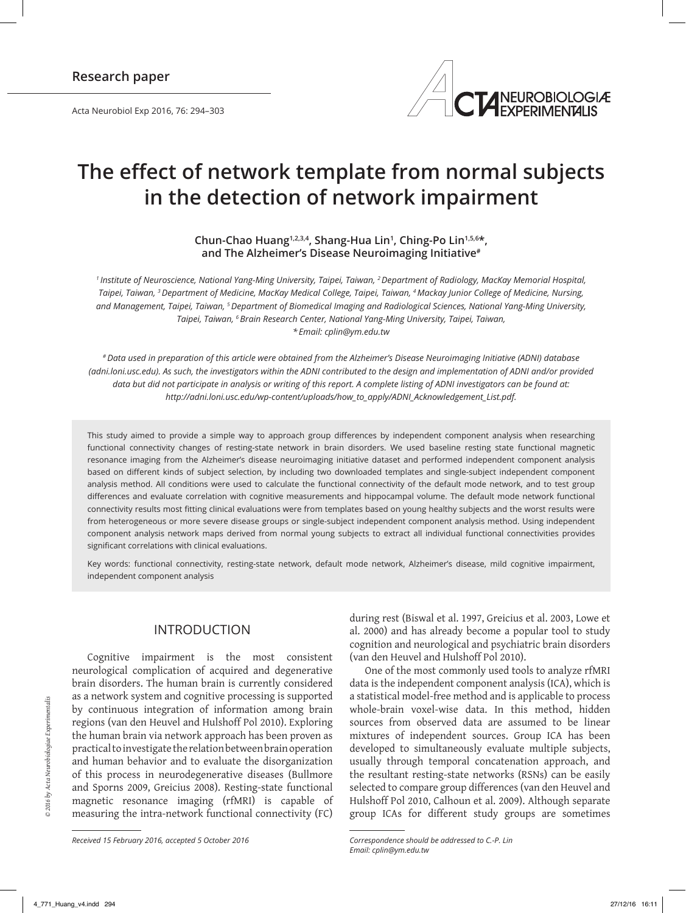Acta Neurobiol Exp 2016, 76: 294–303



# **The effect of network template from normal subjects in the detection of network impairment**

**Chun‑Chao Huang1,2,3,4, Shang‑Hua Lin<sup>1</sup> , Ching‑Po Lin1,5,6\*, and The Alzheimer's Disease Neuroimaging Initiative#**

*1 Institute of Neuroscience, National Yang‑Ming University, Taipei, Taiwan, 2 Department of Radiology, MacKay Memorial Hospital, Taipei, Taiwan, 3 Department of Medicine, MacKay Medical College, Taipei, Taiwan, 4 Mackay Junior College of Medicine, Nursing, and Management, Taipei, Taiwan, 5 Department of Biomedical Imaging and Radiological Sciences, National Yang‑Ming University, Taipei, Taiwan, 6 Brain Research Center, National Yang‑Ming University, Taipei, Taiwan, \* Email: cplin@ym.edu.tw* 

*# Data used in preparation of this article were obtained from the Alzheimer's Disease Neuroimaging Initiative (ADNI) database (adni.loni.usc.edu). As such, the investigators within the ADNI contributed to the design and implementation of ADNI and/or provided data but did not participate in analysis or writing of this report. A complete listing of ADNI investigators can be found at: http://adni.loni.usc.edu/wp‑content/uploads/how\_to\_apply/ADNI\_Acknowledgement\_List.pdf.*

This study aimed to provide a simple way to approach group differences by independent component analysis when researching functional connectivity changes of resting-state network in brain disorders. We used baseline resting state functional magnetic resonance imaging from the Alzheimer's disease neuroimaging initiative dataset and performed independent component analysis based on different kinds of subject selection, by including two downloaded templates and single‑subject independent component analysis method. All conditions were used to calculate the functional connectivity of the default mode network, and to test group differences and evaluate correlation with cognitive measurements and hippocampal volume. The default mode network functional connectivity results most fitting clinical evaluations were from templates based on young healthy subjects and the worst results were from heterogeneous or more severe disease groups or single-subject independent component analysis method. Using independent component analysis network maps derived from normal young subjects to extract all individual functional connectivities provides significant correlations with clinical evaluations.

Key words: functional connectivity, resting‑state network, default mode network, Alzheimer's disease, mild cognitive impairment, independent component analysis

# INTRODUCTION

Cognitive impairment is the most consistent neurological complication of acquired and degenerative brain disorders. The human brain is currently considered as a network system and cognitive processing is supported by continuous integration of information among brain regions (van den Heuvel and Hulshoff Pol 2010). Exploring the human brain via network approach has been proven as practical to investigate the relation between brain operation and human behavior and to evaluate the disorganization of this process in neurodegenerative diseases (Bullmore and Sporns 2009, Greicius 2008). Resting‑state functional magnetic resonance imaging (rfMRI) is capable of measuring the intra-network functional connectivity (FC)

*Received 15 February 2016, accepted 5 October 2016*

during rest (Biswal et al. 1997, Greicius et al. 2003, Lowe et al. 2000) and has already become a popular tool to study cognition and neurological and psychiatric brain disorders (van den Heuvel and Hulshoff Pol 2010).

One of the most commonly used tools to analyze rfMRI data is the independent component analysis (ICA), which is a statistical model-free method and is applicable to process whole-brain voxel-wise data. In this method, hidden sources from observed data are assumed to be linear mixtures of independent sources. Group ICA has been developed to simultaneously evaluate multiple subjects, usually through temporal concatenation approach, and the resultant resting‑state networks (RSNs) can be easily selected to compare group differences (van den Heuvel and Hulshoff Pol 2010, Calhoun et al. 2009). Although separate group ICAs for different study groups are sometimes

*Correspondence should be addressed to C.‑P. Lin Email: cplin@ym.edu.tw*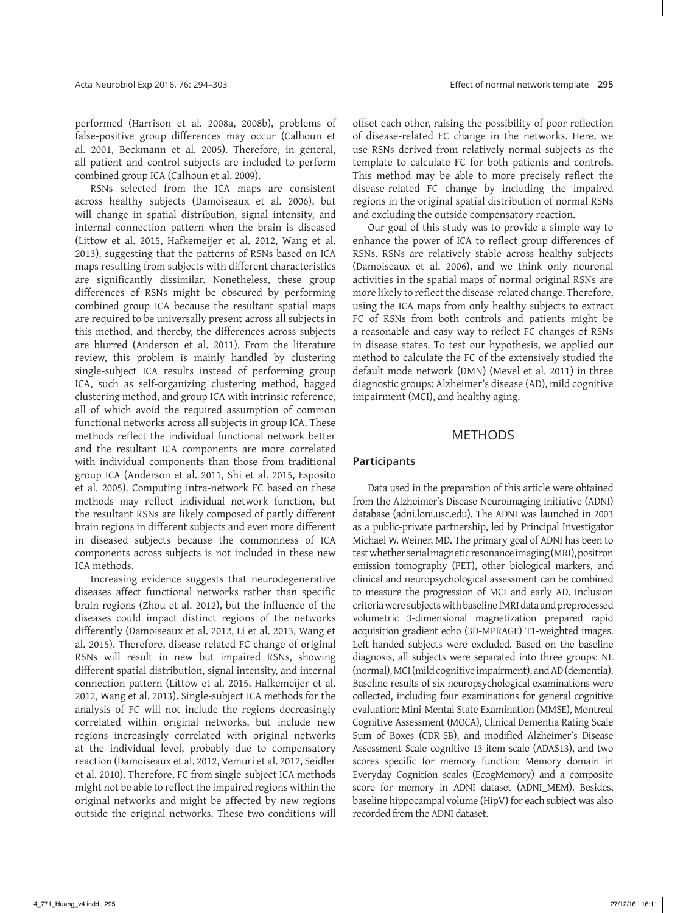performed (Harrison et al. 2008a, 2008b), problems of false-positive group differences may occur (Calhoun et al. 2001, Beckmann et al. 2005). Therefore, in general, all patient and control subjects are included to perform combined group ICA (Calhoun et al. 2009).

RSNs selected from the ICA maps are consistent across healthy subjects (Damoiseaux et al. 2006), but will change in spatial distribution, signal intensity, and internal connection pattern when the brain is diseased (Littow et al. 2015, Hafkemeijer et al. 2012, Wang et al. 2013), suggesting that the patterns of RSNs based on ICA maps resulting from subjects with different characteristics are significantly dissimilar. Nonetheless, these group differences of RSNs might be obscured by performing combined group ICA because the resultant spatial maps are required to be universally present across all subjects in this method, and thereby, the differences across subjects are blurred (Anderson et al. 2011). From the literature review, this problem is mainly handled by clustering single-subject ICA results instead of performing group ICA, such as self-organizing clustering method, bagged clustering method, and group ICA with intrinsic reference, all of which avoid the required assumption of common functional networks across all subjects in group ICA. These methods reflect the individual functional network better and the resultant ICA components are more correlated with individual components than those from traditional group ICA (Anderson et al. 2011, Shi et al. 2015, Esposito et al. 2005). Computing intra‑network FC based on these methods may reflect individual network function, but the resultant RSNs are likely composed of partly different brain regions in different subjects and even more different in diseased subjects because the commonness of ICA components across subjects is not included in these new ICA methods.

Increasing evidence suggests that neurodegenerative diseases affect functional networks rather than specific brain regions (Zhou et al. 2012), but the influence of the diseases could impact distinct regions of the networks differently (Damoiseaux et al. 2012, Li et al. 2013, Wang et al. 2015). Therefore, disease-related FC change of original RSNs will result in new but impaired RSNs, showing different spatial distribution, signal intensity, and internal connection pattern (Littow et al. 2015, Hafkemeijer et al. 2012, Wang et al. 2013). Single‑subject ICA methods for the analysis of FC will not include the regions decreasingly correlated within original networks, but include new regions increasingly correlated with original networks at the individual level, probably due to compensatory reaction (Damoiseaux et al. 2012, Vemuri et al. 2012, Seidler et al. 2010). Therefore, FC from single‑subject ICA methods might not be able to reflect the impaired regions within the original networks and might be affected by new regions outside the original networks. These two conditions will

offset each other, raising the possibility of poor reflection of disease‑related FC change in the networks. Here, we use RSNs derived from relatively normal subjects as the template to calculate FC for both patients and controls. This method may be able to more precisely reflect the disease‑related FC change by including the impaired regions in the original spatial distribution of normal RSNs and excluding the outside compensatory reaction.

Our goal of this study was to provide a simple way to enhance the power of ICA to reflect group differences of RSNs. RSNs are relatively stable across healthy subjects (Damoiseaux et al. 2006), and we think only neuronal activities in the spatial maps of normal original RSNs are more likely to reflect the disease-related change. Therefore, using the ICA maps from only healthy subjects to extract FC of RSNs from both controls and patients might be a reasonable and easy way to reflect FC changes of RSNs in disease states. To test our hypothesis, we applied our method to calculate the FC of the extensively studied the default mode network (DMN) (Mevel et al. 2011) in three diagnostic groups: Alzheimer's disease (AD), mild cognitive impairment (MCI), and healthy aging.

# METHODS

#### **Participants**

Data used in the preparation of this article were obtained from the Alzheimer's Disease Neuroimaging Initiative (ADNI) database (adni.loni.usc.edu). The ADNI was launched in 2003 as a public‑private partnership, led by Principal Investigator Michael W. Weiner, MD. The primary goal of ADNI has been to test whether serial magnetic resonance imaging (MRI), positron emission tomography (PET), other biological markers, and clinical and neuropsychological assessment can be combined to measure the progression of MCI and early AD. Inclusion criteria were subjects with baseline fMRI data and preprocessed volumetric 3‑dimensional magnetization prepared rapid acquisition gradient echo (3D‑MPRAGE) T1‑weighted images. Left-handed subjects were excluded. Based on the baseline diagnosis, all subjects were separated into three groups: NL (normal), MCI (mild cognitive impairment), and AD (dementia). Baseline results of six neuropsychological examinations were collected, including four examinations for general cognitive evaluation: Mini‑Mental State Examination (MMSE), Montreal Cognitive Assessment (MOCA), Clinical Dementia Rating Scale Sum of Boxes (CDR-SB), and modified Alzheimer's Disease Assessment Scale cognitive 13‑item scale (ADAS13), and two scores specific for memory function: Memory domain in Everyday Cognition scales (EcogMemory) and a composite score for memory in ADNI dataset (ADNI\_MEM). Besides, baseline hippocampal volume (HipV) for each subject was also recorded from the ADNI dataset.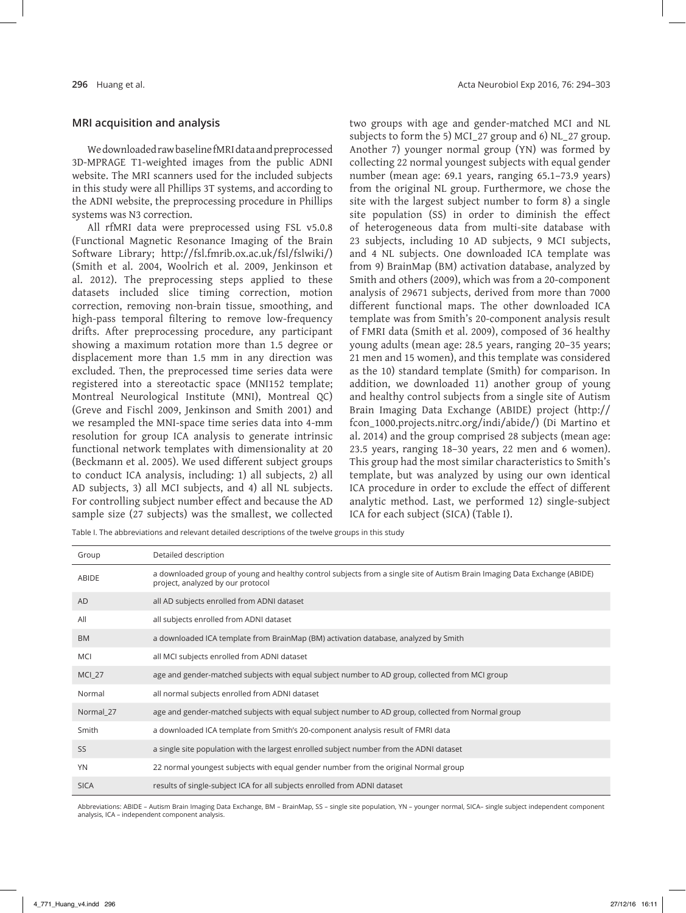#### **MRI acquisition and analysis**

We downloaded raw baseline fMRI data and preprocessed 3D‑MPRAGE T1‑weighted images from the public ADNI website. The MRI scanners used for the included subjects in this study were all Phillips 3T systems, and according to the ADNI website, the preprocessing procedure in Phillips systems was N3 correction.

All rfMRI data were preprocessed using FSL v5.0.8 (Functional Magnetic Resonance Imaging of the Brain Software Library; http://fsl.fmrib.ox.ac.uk/fsl/fslwiki/) (Smith et al. 2004, Woolrich et al. 2009, Jenkinson et al. 2012). The preprocessing steps applied to these datasets included slice timing correction, motion correction, removing non‑brain tissue, smoothing, and high-pass temporal filtering to remove low-frequency drifts. After preprocessing procedure, any participant showing a maximum rotation more than 1.5 degree or displacement more than 1.5 mm in any direction was excluded. Then, the preprocessed time series data were registered into a stereotactic space (MNI152 template; Montreal Neurological Institute (MNI), Montreal QC) (Greve and Fischl 2009, Jenkinson and Smith 2001) and we resampled the MNI‑space time series data into 4‑mm resolution for group ICA analysis to generate intrinsic functional network templates with dimensionality at 20 (Beckmann et al. 2005). We used different subject groups to conduct ICA analysis, including: 1) all subjects, 2) all AD subjects, 3) all MCI subjects, and 4) all NL subjects. For controlling subject number effect and because the AD sample size (27 subjects) was the smallest, we collected two groups with age and gender‑matched MCI and NL subjects to form the 5) MCI\_27 group and 6) NL\_27 group. Another 7) younger normal group (YN) was formed by collecting 22 normal youngest subjects with equal gender number (mean age: 69.1 years, ranging 65.1–73.9 years) from the original NL group. Furthermore, we chose the site with the largest subject number to form 8) a single site population (SS) in order to diminish the effect of heterogeneous data from multi‑site database with 23 subjects, including 10 AD subjects, 9 MCI subjects, and 4 NL subjects. One downloaded ICA template was from 9) BrainMap (BM) activation database, analyzed by Smith and others (2009), which was from a 20‑component analysis of 29671 subjects, derived from more than 7000 different functional maps. The other downloaded ICA template was from Smith's 20‑component analysis result of FMRI data (Smith et al. 2009), composed of 36 healthy young adults (mean age: 28.5 years, ranging 20–35 years; 21 men and 15 women), and this template was considered as the 10) standard template (Smith) for comparison. In addition, we downloaded 11) another group of young and healthy control subjects from a single site of Autism Brain Imaging Data Exchange (ABIDE) project (http:// fcon\_1000.projects.nitrc.org/indi/abide/) (Di Martino et al. 2014) and the group comprised 28 subjects (mean age: 23.5 years, ranging 18–30 years, 22 men and 6 women). This group had the most similar characteristics to Smith's template, but was analyzed by using our own identical ICA procedure in order to exclude the effect of different analytic method. Last, we performed 12) single-subject ICA for each subject (SICA) (Table I).

Table I. The abbreviations and relevant detailed descriptions of the twelve groups in this study

| Group         | Detailed description                                                                                                                                           |
|---------------|----------------------------------------------------------------------------------------------------------------------------------------------------------------|
| ABIDE         | a downloaded group of young and healthy control subjects from a single site of Autism Brain Imaging Data Exchange (ABIDE)<br>project, analyzed by our protocol |
| AD            | all AD subjects enrolled from ADNI dataset                                                                                                                     |
| All           | all subjects enrolled from ADNI dataset                                                                                                                        |
| <b>BM</b>     | a downloaded ICA template from BrainMap (BM) activation database, analyzed by Smith                                                                            |
| MCI           | all MCI subjects enrolled from ADNI dataset                                                                                                                    |
| <b>MCI_27</b> | age and gender-matched subjects with equal subject number to AD group, collected from MCI group                                                                |
| Normal        | all normal subjects enrolled from ADNI dataset                                                                                                                 |
| Normal_27     | age and gender-matched subjects with equal subject number to AD group, collected from Normal group                                                             |
| Smith         | a downloaded ICA template from Smith's 20-component analysis result of FMRI data                                                                               |
| <b>SS</b>     | a single site population with the largest enrolled subject number from the ADNI dataset                                                                        |
| <b>YN</b>     | 22 normal youngest subjects with equal gender number from the original Normal group                                                                            |
| <b>SICA</b>   | results of single-subject ICA for all subjects enrolled from ADNI dataset                                                                                      |

Abbreviations: ABIDE – Autism Brain Imaging Data Exchange, BM – BrainMap, SS – single site population, YN – younger normal, SICA– single subject independent component analysis, ICA – independent component analysis.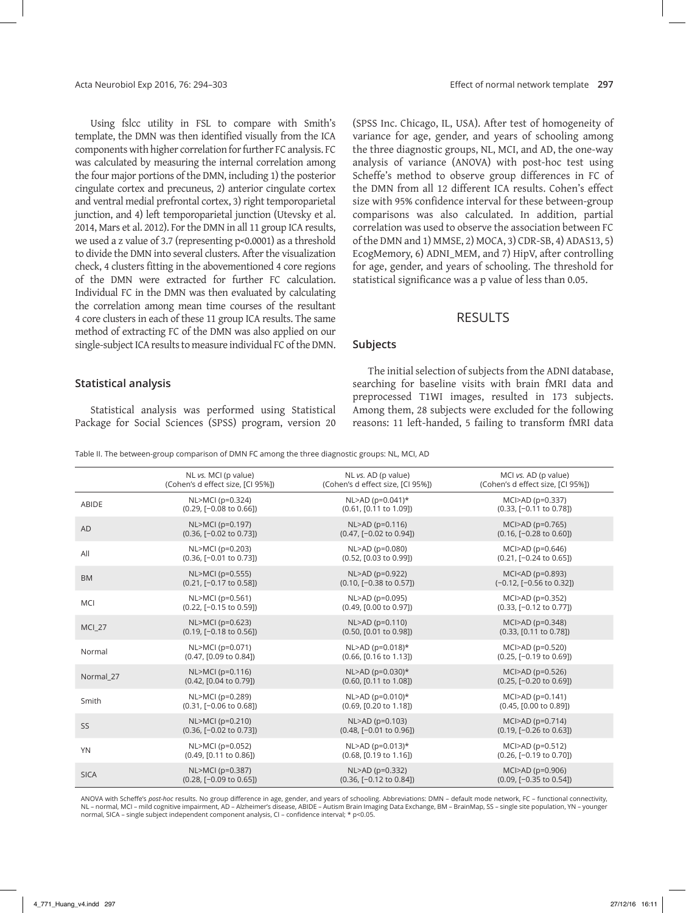Using fslcc utility in FSL to compare with Smith's template, the DMN was then identified visually from the ICA components with higher correlation for further FC analysis. FC was calculated by measuring the internal correlation among the four major portions of the DMN, including 1) the posterior cingulate cortex and precuneus, 2) anterior cingulate cortex and ventral medial prefrontal cortex, 3) right temporoparietal junction, and 4) left temporoparietal junction (Utevsky et al. 2014, Mars et al. 2012). For the DMN in all 11 group ICA results, we used a z value of 3.7 (representing p<0.0001) as a threshold to divide the DMN into several clusters. After the visualization check, 4 clusters fitting in the abovementioned 4 core regions of the DMN were extracted for further FC calculation. Individual FC in the DMN was then evaluated by calculating the correlation among mean time courses of the resultant 4 core clusters in each of these 11 group ICA results. The same method of extracting FC of the DMN was also applied on our single-subject ICA results to measure individual FC of the DMN.

#### **Statistical analysis**

Statistical analysis was performed using Statistical Package for Social Sciences (SPSS) program, version 20

(SPSS Inc. Chicago, IL, USA). After test of homogeneity of variance for age, gender, and years of schooling among the three diagnostic groups, NL, MCI, and AD, the one‑way analysis of variance (ANOVA) with post-hoc test using Scheffe's method to observe group differences in FC of the DMN from all 12 different ICA results. Cohen's effect size with 95% confidence interval for these between‑group comparisons was also calculated. In addition, partial correlation was used to observe the association between FC of the DMN and 1) MMSE, 2) MOCA, 3) CDR‑SB, 4) ADAS13, 5) EcogMemory, 6) ADNI\_MEM, and 7) HipV, after controlling for age, gender, and years of schooling. The threshold for statistical significance was a p value of less than 0.05.

# RESULTS

#### **Subjects**

The initial selection of subjects from the ADNI database, searching for baseline visits with brain fMRI data and preprocessed T1WI images, resulted in 173 subjects. Among them, 28 subjects were excluded for the following reasons: 11 left-handed, 5 failing to transform fMRI data

Table II. The between-group comparison of DMN FC among the three diagnostic groups: NL, MCI, AD

|               | NL vs. MCI (p value)               | NL vs. AD (p value)                | MCI vs. AD (p value)                |
|---------------|------------------------------------|------------------------------------|-------------------------------------|
|               | (Cohen's d effect size, [CI 95%])  | (Cohen's d effect size, [CI 95%])  | (Cohen's d effect size, [CI 95%])   |
| <b>ABIDE</b>  | NL>MCI (p=0.324)                   | $NL > AD (p=0.041)$ *              | MCI>AD (p=0.337)                    |
|               | $(0.29, [-0.08 \text{ to } 0.66])$ | (0.61, [0.11 to 1.09])             | (0.33, [-0.11 to 0.78])             |
| <b>AD</b>     | NL>MCI (p=0.197)                   | NL>AD (p=0.116)                    | MCI>AD (p=0.765)                    |
|               | $(0.36, [-0.02 \text{ to } 0.73])$ | $(0.47, [-0.02 \text{ to } 0.94])$ | $(0.16, [-0.28 \text{ to } 0.60])$  |
| All           | NL>MCI (p=0.203)                   | NL>AD (p=0.080)                    | MCI>AD (p=0.646)                    |
|               | $(0.36, [-0.01]$ to $(0.73]$       | (0.52, [0.03 to 0.99])             | $(0.21, [-0.24 \text{ to } 0.65])$  |
| <b>BM</b>     | NL>MCI (p=0.555)                   | NL>AD (p=0.922)                    | MCI <ad (p="0.893)&lt;/td"></ad>    |
|               | $(0.21, [-0.17 \text{ to } 0.58])$ | $(0.10, [-0.38 \text{ to } 0.57])$ | $(-0.12, [-0.56 \text{ to } 0.32])$ |
| MCI           | NL>MCI (p=0.561)                   | NL>AD (p=0.095)                    | MCI>AD (p=0.352)                    |
|               | $(0.22, [-0.15]$ to $(0.59)$       | (0.49, [0.00 to 0.97])             | (0.33, [-0.12 to 0.77])             |
| <b>MCI_27</b> | NL>MCI (p=0.623)                   | NL>AD (p=0.110)                    | MCI>AD (p=0.348)                    |
|               | $(0.19, [-0.18 \text{ to } 0.56])$ | (0.50, [0.01 to 0.98])             | $(0.33, [0.11 \text{ to } 0.78])$   |
| Normal        | NL>MCI (p=0.071)                   | $NL > AD (p=0.018)*$               | MCI>AD (p=0.520)                    |
|               | (0.47, [0.09 to 0.84])             | (0.66, [0.16 to 1.13])             | (0.25, [-0.19 to 0.69])             |
| Normal 27     | $NL > MCI$ ( $p = 0.116$ )         | $NL > AD (p=0.030)*$               | $MC$ $>AD$ ( $p=0.526$ )            |
|               | (0.42, [0.04 to 0.79])             | $(0.60, [0.11 \text{ to } 1.08])$  | $(0.25, [-0.20 \text{ to } 0.69])$  |
| Smith         | NL>MCI (p=0.289)                   | $NL > AD (p=0.010)*$               | MCI>AD (p=0.141)                    |
|               | $(0.31, [-0.06 \text{ to } 0.68])$ | (0.69, [0.20 to 1.18])             | (0.45, [0.00 to 0.89])              |
| SS            | NL>MCI (p=0.210)                   | NL>AD (p=0.103)                    | $MC$ $>AD$ ( $p=0.714$ )            |
|               | $(0.36, [-0.02 \text{ to } 0.73])$ | $(0.48, [-0.01 \text{ to } 0.96])$ | $(0.19, [-0.26 \text{ to } 0.63])$  |
| <b>YN</b>     | NL>MCI (p=0.052)                   | NL>AD (p=0.013)*                   | MCI>AD (p=0.512)                    |
|               | (0.49, [0.11 to 0.86])             | (0.68, [0.19 to 1.16])             | $(0.26, F - 0.19)$ to 0.70])        |
| <b>SICA</b>   | NL>MCI (p=0.387)                   | NL>AD (p=0.332)                    | MCI>AD (p=0.906)                    |
|               | $(0.28, [-0.09 \text{ to } 0.65])$ | (0.36, [-0.12 to 0.84])            | (0.09, [-0.35 to 0.54])             |

ANOVA with Scheffe's *post-hoc r*esults. No group difference in age, gender, and years of schooling. Abbreviations: DMN – default mode network, FC – functional connectivity,<br>NL – normal, MCI – mild cognitive impairment, AD normal, SICA – single subject independent component analysis, CI – confidence interval; \* p<0.05.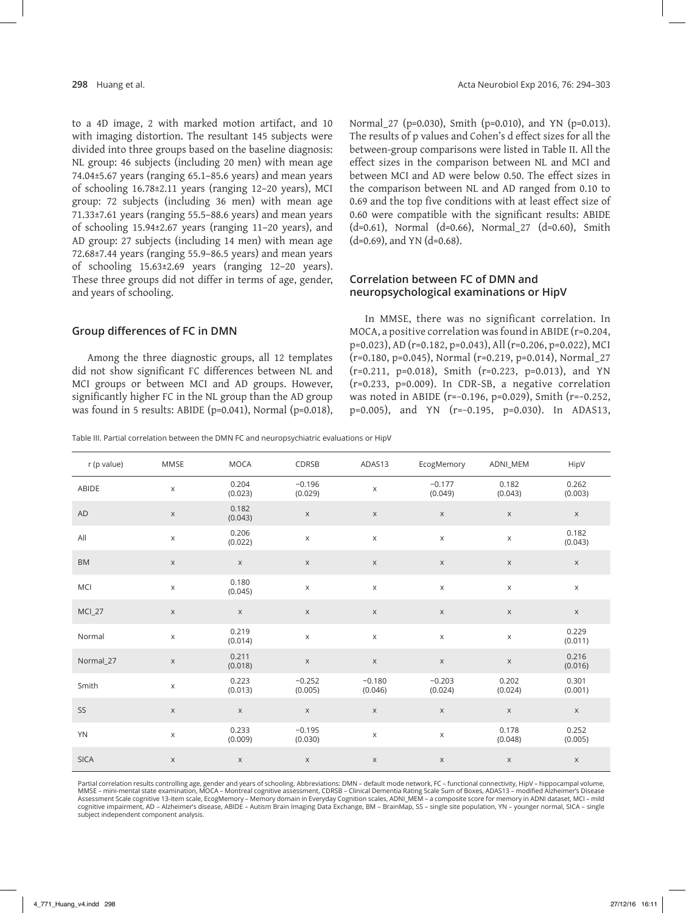to a 4D image, 2 with marked motion artifact, and 10 with imaging distortion. The resultant 145 subjects were divided into three groups based on the baseline diagnosis: NL group: 46 subjects (including 20 men) with mean age 74.04±5.67 years (ranging 65.1–85.6 years) and mean years of schooling 16.78±2.11 years (ranging 12–20 years), MCI group: 72 subjects (including 36 men) with mean age 71.33±7.61 years (ranging 55.5–88.6 years) and mean years of schooling 15.94±2.67 years (ranging 11–20 years), and AD group: 27 subjects (including 14 men) with mean age 72.68±7.44 years (ranging 55.9–86.5 years) and mean years of schooling 15.63±2.69 years (ranging 12–20 years). These three groups did not differ in terms of age, gender, and years of schooling.

Normal\_27 (p=0.030), Smith (p=0.010), and YN (p=0.013). The results of p values and Cohen's d effect sizes for all the between‑group comparisons were listed in Table II. All the effect sizes in the comparison between NL and MCI and between MCI and AD were below 0.50. The effect sizes in the comparison between NL and AD ranged from 0.10 to 0.69 and the top five conditions with at least effect size of 0.60 were compatible with the significant results: ABIDE (d=0.61), Normal (d=0.66), Normal\_27 (d=0.60), Smith  $(d=0.69)$ , and YN  $(d=0.68)$ .

#### **Correlation between FC of DMN and neuropsychological examinations or HipV**

#### **Group differences of FC in DMN**

Among the three diagnostic groups, all 12 templates did not show significant FC differences between NL and MCI groups or between MCI and AD groups. However, significantly higher FC in the NL group than the AD group was found in 5 results: ABIDE (p=0.041), Normal (p=0.018),

In MMSE, there was no significant correlation. In MOCA, a positive correlation was found in ABIDE (r=0.204, p=0.023), AD (r=0.182, p=0.043), All (r=0.206, p=0.022), MCI (r=0.180, p=0.045), Normal (r=0.219, p=0.014), Normal\_27 (r=0.211, p=0.018), Smith (r=0.223, p=0.013), and YN (r=0.233, p=0.009). In CDR‑SB, a negative correlation was noted in ABIDE (r=−0.196, p=0.029), Smith (r=−0.252, p=0.005), and YN (r=−0.195, p=0.030). In ADAS13,

Table III. Partial correlation between the DMN FC and neuropsychiatric evaluations or HipV

| r (p value)   | <b>MMSE</b>  | <b>MOCA</b>      | CDRSB               | ADAS13              | EcogMemory          | ADNI_MEM         | HipV                      |
|---------------|--------------|------------------|---------------------|---------------------|---------------------|------------------|---------------------------|
| ABIDE         | $\mathsf X$  | 0.204<br>(0.023) | $-0.196$<br>(0.029) | $\mathsf X$         | $-0.177$<br>(0.049) | 0.182<br>(0.043) | 0.262<br>(0.003)          |
| AD            | $\mathsf X$  | 0.182<br>(0.043) | $\mathsf X$         | $\mathsf X$         | $\mathsf X$         | $\mathsf X$      | $\mathsf X$               |
| All           | $\mathsf X$  | 0.206<br>(0.022) | $\mathsf X$         | $\mathsf X$         | $\mathsf X$         | $\mathsf X$      | 0.182<br>(0.043)          |
| ${\sf BM}$    | $\mathsf X$  | $\mathsf X$      | $\mathsf X$         | $\mathsf X$         | $\mathsf X$         | $\mathsf X$      | $\mathsf X$               |
| MCI           | $\mathsf X$  | 0.180<br>(0.045) | $\mathsf X$         | $\mathsf X$         | $\mathsf X$         | $\mathsf X$      | $\mathsf X$               |
| <b>MCI_27</b> | $\mathsf X$  | $\mathsf X$      | $\mathsf X$         | $\mathsf X$         | $\mathsf X$         | $\mathsf X$      | $\mathsf X$               |
| Normal        | $\mathsf{X}$ | 0.219<br>(0.014) | $\mathsf X$         | $\mathsf X$         | $\mathsf X$         | $\mathsf X$      | 0.229<br>(0.011)          |
| Normal_27     | $\mathsf X$  | 0.211<br>(0.018) | $\mathsf X$         | $\mathsf X$         | $\mathsf X$         | $\mathsf X$      | 0.216<br>(0.016)          |
| Smith         | $\mathsf X$  | 0.223<br>(0.013) | $-0.252$<br>(0.005) | $-0.180$<br>(0.046) | $-0.203$<br>(0.024) | 0.202<br>(0.024) | 0.301<br>(0.001)          |
| SS            | $\mathsf X$  | $\mathsf X$      | $\mathsf X$         | $\mathsf X$         | $\mathsf X$         | $\mathsf X$      | $\boldsymbol{\mathsf{X}}$ |
| <b>YN</b>     | $\mathsf X$  | 0.233<br>(0.009) | $-0.195$<br>(0.030) | $\mathsf X$         | $\mathsf X$         | 0.178<br>(0.048) | 0.252<br>(0.005)          |
| <b>SICA</b>   | $\mathsf X$  | $\mathsf X$      | $\mathsf X$         | $\mathsf X$         | $\mathsf X$         | X                | $\mathsf X$               |

Partial correlation results controlling age, gender and years of schooling. Abbreviations: DMN – default mode network, FC – functional connectivity, HipV – hippocampal volume, MMSE – mini-mental state examination, MOCA – Montreal cognitive assessment, CDRSB – Clinical Dementia Rating Scale Sum of Boxes, ADAS13 – modified Alzheimer's Disease Assessment Scale cognitive 13-item scale, EcogMemory – Memory domain in Everyday Cognition scales, ADNI\_MEM – a composite score for memory in ADNI dataset, MCI – mild<br>cognitive impairment, AD – Alzheimer's disease, ABIDE – subject independent component analysis.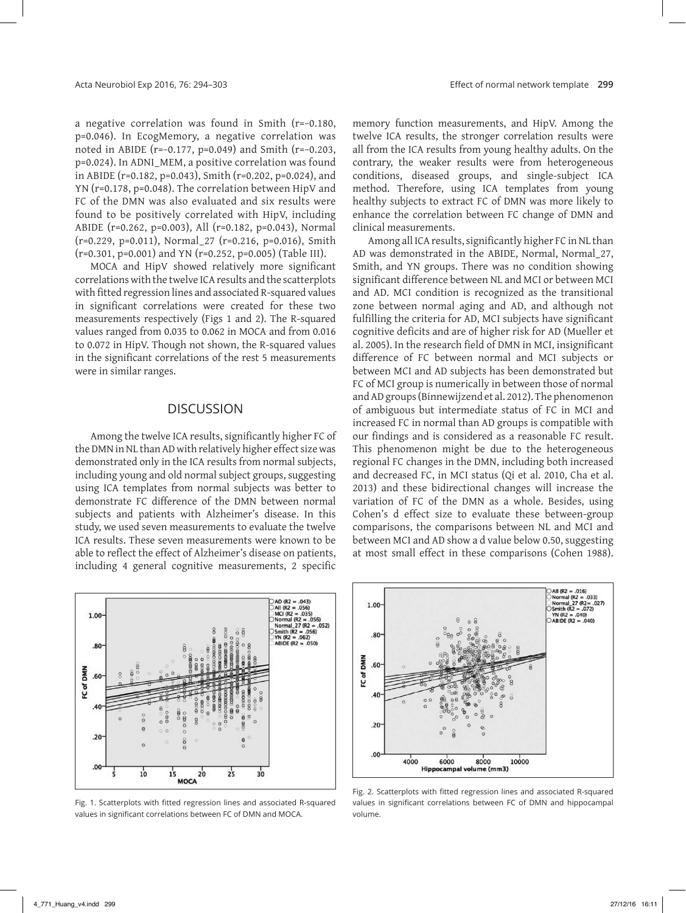a negative correlation was found in Smith (r=−0.180, p=0.046). In EcogMemory, a negative correlation was noted in ABIDE (r=−0.177, p=0.049) and Smith (r=−0.203, p=0.024). In ADNI\_MEM, a positive correlation was found in ABIDE (r=0.182, p=0.043), Smith (r=0.202, p=0.024), and YN (r=0.178, p=0.048). The correlation between HipV and FC of the DMN was also evaluated and six results were found to be positively correlated with HipV, including ABIDE (r=0.262, p=0.003), All (r=0.182, p=0.043), Normal (r=0.229, p=0.011), Normal\_27 (r=0.216, p=0.016), Smith (r=0.301, p=0.001) and YN (r=0.252, p=0.005) (Table III).

MOCA and HipV showed relatively more significant correlations with the twelve ICA results and the scatterplots with fitted regression lines and associated R-squared values in significant correlations were created for these two measurements respectively (Figs 1 and 2). The R-squared values ranged from 0.035 to 0.062 in MOCA and from 0.016 to 0.072 in HipV. Though not shown, the R-squared values in the significant correlations of the rest 5 measurements were in similar ranges.

## **DISCUSSION**

Among the twelve ICA results, significantly higher FC of the DMN in NL than AD with relatively higher effect size was demonstrated only in the ICA results from normal subjects, including young and old normal subject groups, suggesting using ICA templates from normal subjects was better to demonstrate FC difference of the DMN between normal subjects and patients with Alzheimer's disease. In this study, we used seven measurements to evaluate the twelve ICA results. These seven measurements were known to be able to reflect the effect of Alzheimer's disease on patients, including 4 general cognitive measurements, 2 specific



Fig. 1. Scatterplots with fitted regression lines and associated R-squared values in significant correlations between FC of DMN and MOCA.

memory function measurements, and HipV. Among the twelve ICA results, the stronger correlation results were all from the ICA results from young healthy adults. On the contrary, the weaker results were from heterogeneous conditions, diseased groups, and single‑subject ICA method. Therefore, using ICA templates from young healthy subjects to extract FC of DMN was more likely to enhance the correlation between FC change of DMN and clinical measurements.

Among all ICA results, significantly higher FC in NL than AD was demonstrated in the ABIDE, Normal, Normal\_27, Smith, and YN groups. There was no condition showing significant difference between NL and MCI or between MCI and AD. MCI condition is recognized as the transitional zone between normal aging and AD, and although not fulfilling the criteria for AD, MCI subjects have significant cognitive deficits and are of higher risk for AD (Mueller et al. 2005). In the research field of DMN in MCI, insignificant difference of FC between normal and MCI subjects or between MCI and AD subjects has been demonstrated but FC of MCI group is numerically in between those of normal and AD groups (Binnewijzend et al. 2012). The phenomenon of ambiguous but intermediate status of FC in MCI and increased FC in normal than AD groups is compatible with our findings and is considered as a reasonable FC result. This phenomenon might be due to the heterogeneous regional FC changes in the DMN, including both increased and decreased FC, in MCI status (Qi et al. 2010, Cha et al. 2013) and these bidirectional changes will increase the variation of FC of the DMN as a whole. Besides, using Cohen's d effect size to evaluate these between‑group comparisons, the comparisons between NL and MCI and between MCI and AD show a d value below 0.50, suggesting at most small effect in these comparisons (Cohen 1988).



Fig. 2. Scatterplots with fitted regression lines and associated R-squared values in significant correlations between FC of DMN and hippocampal volume.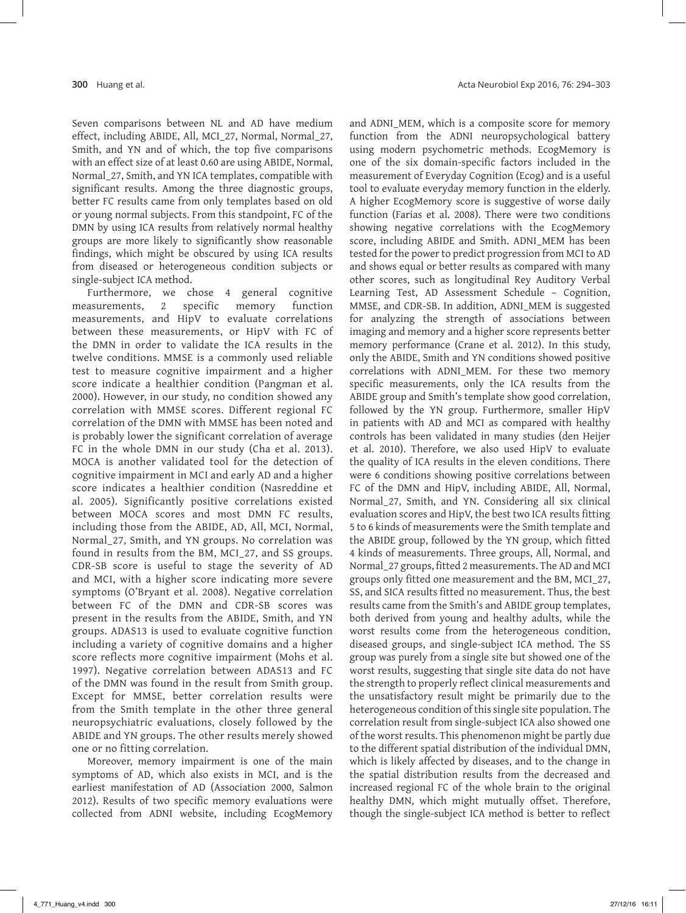Seven comparisons between NL and AD have medium effect, including ABIDE, All, MCI\_27, Normal, Normal\_27, Smith, and YN and of which, the top five comparisons with an effect size of at least 0.60 are using ABIDE, Normal, Normal\_27, Smith, and YN ICA templates, compatible with significant results. Among the three diagnostic groups, better FC results came from only templates based on old or young normal subjects. From this standpoint, FC of the DMN by using ICA results from relatively normal healthy groups are more likely to significantly show reasonable findings, which might be obscured by using ICA results from diseased or heterogeneous condition subjects or single-subject ICA method.

Furthermore, we chose 4 general cognitive measurements, 2 specific memory function measurements, and HipV to evaluate correlations between these measurements, or HipV with FC of the DMN in order to validate the ICA results in the twelve conditions. MMSE is a commonly used reliable test to measure cognitive impairment and a higher score indicate a healthier condition (Pangman et al. 2000). However, in our study, no condition showed any correlation with MMSE scores. Different regional FC correlation of the DMN with MMSE has been noted and is probably lower the significant correlation of average FC in the whole DMN in our study (Cha et al. 2013). MOCA is another validated tool for the detection of cognitive impairment in MCI and early AD and a higher score indicates a healthier condition (Nasreddine et al. 2005). Significantly positive correlations existed between MOCA scores and most DMN FC results, including those from the ABIDE, AD, All, MCI, Normal, Normal\_27, Smith, and YN groups. No correlation was found in results from the BM, MCI\_27, and SS groups. CDR‑SB score is useful to stage the severity of AD and MCI, with a higher score indicating more severe symptoms (O'Bryant et al. 2008). Negative correlation between FC of the DMN and CDR‑SB scores was present in the results from the ABIDE, Smith, and YN groups. ADAS13 is used to evaluate cognitive function including a variety of cognitive domains and a higher score reflects more cognitive impairment (Mohs et al. 1997). Negative correlation between ADAS13 and FC of the DMN was found in the result from Smith group. Except for MMSE, better correlation results were from the Smith template in the other three general neuropsychiatric evaluations, closely followed by the ABIDE and YN groups. The other results merely showed one or no fitting correlation.

Moreover, memory impairment is one of the main symptoms of AD, which also exists in MCI, and is the earliest manifestation of AD (Association 2000, Salmon 2012). Results of two specific memory evaluations were collected from ADNI website, including EcogMemory and ADNI\_MEM, which is a composite score for memory function from the ADNI neuropsychological battery using modern psychometric methods. EcogMemory is one of the six domain‑specific factors included in the measurement of Everyday Cognition (Ecog) and is a useful tool to evaluate everyday memory function in the elderly. A higher EcogMemory score is suggestive of worse daily function (Farias et al. 2008). There were two conditions showing negative correlations with the EcogMemory score, including ABIDE and Smith. ADNI\_MEM has been tested for the power to predict progression from MCI to AD and shows equal or better results as compared with many other scores, such as longitudinal Rey Auditory Verbal Learning Test, AD Assessment Schedule – Cognition, MMSE, and CDR‑SB. In addition, ADNI\_MEM is suggested for analyzing the strength of associations between imaging and memory and a higher score represents better memory performance (Crane et al. 2012). In this study, only the ABIDE, Smith and YN conditions showed positive correlations with ADNI\_MEM. For these two memory specific measurements, only the ICA results from the ABIDE group and Smith's template show good correlation, followed by the YN group. Furthermore, smaller HipV in patients with AD and MCI as compared with healthy controls has been validated in many studies (den Heijer et al. 2010). Therefore, we also used HipV to evaluate the quality of ICA results in the eleven conditions. There were 6 conditions showing positive correlations between FC of the DMN and HipV, including ABIDE, All, Normal, Normal\_27, Smith, and YN. Considering all six clinical evaluation scores and HipV, the best two ICA results fitting 5 to 6 kinds of measurements were the Smith template and the ABIDE group, followed by the YN group, which fitted 4 kinds of measurements. Three groups, All, Normal, and Normal\_27 groups, fitted 2 measurements. The AD and MCI groups only fitted one measurement and the BM, MCI\_27, SS, and SICA results fitted no measurement. Thus, the best results came from the Smith's and ABIDE group templates, both derived from young and healthy adults, while the worst results come from the heterogeneous condition, diseased groups, and single‑subject ICA method. The SS group was purely from a single site but showed one of the worst results, suggesting that single site data do not have the strength to properly reflect clinical measurements and the unsatisfactory result might be primarily due to the heterogeneous condition of this single site population. The correlation result from single‑subject ICA also showed one of the worst results. This phenomenon might be partly due to the different spatial distribution of the individual DMN, which is likely affected by diseases, and to the change in the spatial distribution results from the decreased and increased regional FC of the whole brain to the original healthy DMN, which might mutually offset. Therefore, though the single‑subject ICA method is better to reflect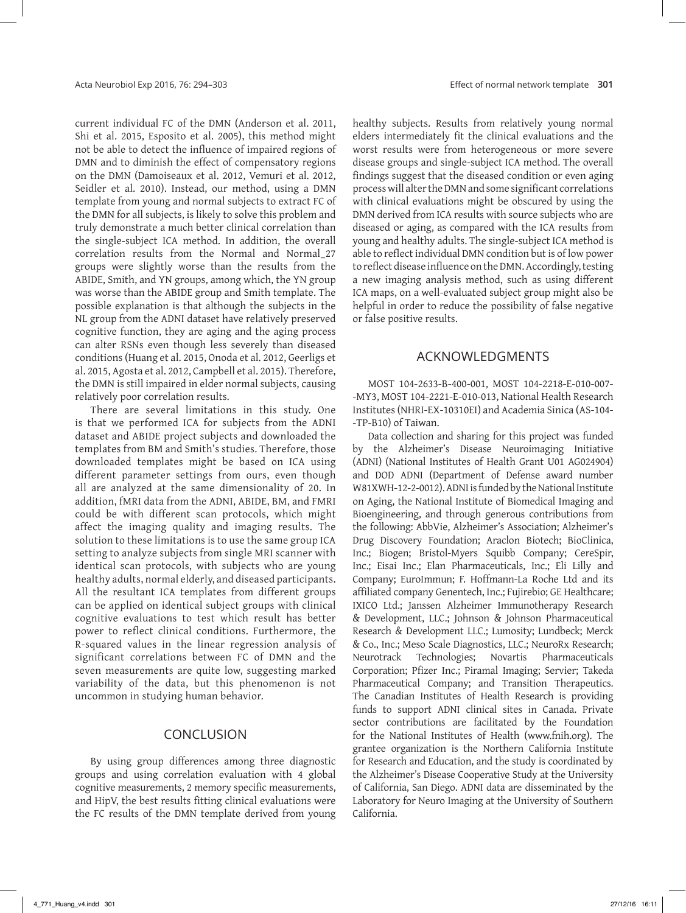current individual FC of the DMN (Anderson et al. 2011, Shi et al. 2015, Esposito et al. 2005), this method might not be able to detect the influence of impaired regions of DMN and to diminish the effect of compensatory regions on the DMN (Damoiseaux et al. 2012, Vemuri et al. 2012, Seidler et al. 2010). Instead, our method, using a DMN template from young and normal subjects to extract FC of the DMN for all subjects, is likely to solve this problem and truly demonstrate a much better clinical correlation than the single‑subject ICA method. In addition, the overall correlation results from the Normal and Normal\_27 groups were slightly worse than the results from the ABIDE, Smith, and YN groups, among which, the YN group was worse than the ABIDE group and Smith template. The possible explanation is that although the subjects in the NL group from the ADNI dataset have relatively preserved cognitive function, they are aging and the aging process can alter RSNs even though less severely than diseased conditions (Huang et al. 2015, Onoda et al. 2012, Geerligs et al. 2015, Agosta et al. 2012, Campbell et al. 2015). Therefore, the DMN is still impaired in elder normal subjects, causing relatively poor correlation results.

There are several limitations in this study. One is that we performed ICA for subjects from the ADNI dataset and ABIDE project subjects and downloaded the templates from BM and Smith's studies. Therefore, those downloaded templates might be based on ICA using different parameter settings from ours, even though all are analyzed at the same dimensionality of 20. In addition, fMRI data from the ADNI, ABIDE, BM, and FMRI could be with different scan protocols, which might affect the imaging quality and imaging results. The solution to these limitations is to use the same group ICA setting to analyze subjects from single MRI scanner with identical scan protocols, with subjects who are young healthy adults, normal elderly, and diseased participants. All the resultant ICA templates from different groups can be applied on identical subject groups with clinical cognitive evaluations to test which result has better power to reflect clinical conditions. Furthermore, the R‑squared values in the linear regression analysis of significant correlations between FC of DMN and the seven measurements are quite low, suggesting marked variability of the data, but this phenomenon is not uncommon in studying human behavior.

### CONCLUSION

By using group differences among three diagnostic groups and using correlation evaluation with 4 global cognitive measurements, 2 memory specific measurements, and HipV, the best results fitting clinical evaluations were the FC results of the DMN template derived from young healthy subjects. Results from relatively young normal elders intermediately fit the clinical evaluations and the worst results were from heterogeneous or more severe disease groups and single‑subject ICA method. The overall findings suggest that the diseased condition or even aging process will alter the DMN and some significant correlations with clinical evaluations might be obscured by using the DMN derived from ICA results with source subjects who are diseased or aging, as compared with the ICA results from young and healthy adults. The single‑subject ICA method is able to reflect individual DMN condition but is of low power to reflect disease influence on the DMN. Accordingly, testing a new imaging analysis method, such as using different ICA maps, on a well-evaluated subject group might also be helpful in order to reduce the possibility of false negative or false positive results.

# ACKNOWLEDGMENTS

MOST 104‑2633‑B‑400‑001, MOST 104‑2218‑E‑010‑007‑ ‑MY3, MOST 104‑2221‑E‑010‑013, National Health Research Institutes (NHRI-EX-10310EI) and Academia Sinica (AS-104-‑TP‑B10) of Taiwan.

Data collection and sharing for this project was funded by the Alzheimer's Disease Neuroimaging Initiative (ADNI) (National Institutes of Health Grant U01 AG024904) and DOD ADNI (Department of Defense award number W81XWH-12-2-0012). ADNI is funded by the National Institute on Aging, the National Institute of Biomedical Imaging and Bioengineering, and through generous contributions from the following: AbbVie, Alzheimer's Association; Alzheimer's Drug Discovery Foundation; Araclon Biotech; BioClinica, Inc.; Biogen; Bristol‑Myers Squibb Company; CereSpir, Inc.; Eisai Inc.; Elan Pharmaceuticals, Inc.; Eli Lilly and Company; EuroImmun; F. Hoffmann-La Roche Ltd and its affiliated company Genentech, Inc.; Fujirebio; GE Healthcare; IXICO Ltd.; Janssen Alzheimer Immunotherapy Research & Development, LLC.; Johnson & Johnson Pharmaceutical Research & Development LLC.; Lumosity; Lundbeck; Merck & Co., Inc.; Meso Scale Diagnostics, LLC.; NeuroRx Research; Neurotrack Technologies; Novartis Pharmaceuticals Corporation; Pfizer Inc.; Piramal Imaging; Servier; Takeda Pharmaceutical Company; and Transition Therapeutics. The Canadian Institutes of Health Research is providing funds to support ADNI clinical sites in Canada. Private sector contributions are facilitated by the Foundation for the National Institutes of Health (www.fnih.org). The grantee organization is the Northern California Institute for Research and Education, and the study is coordinated by the Alzheimer's Disease Cooperative Study at the University of California, San Diego. ADNI data are disseminated by the Laboratory for Neuro Imaging at the University of Southern California.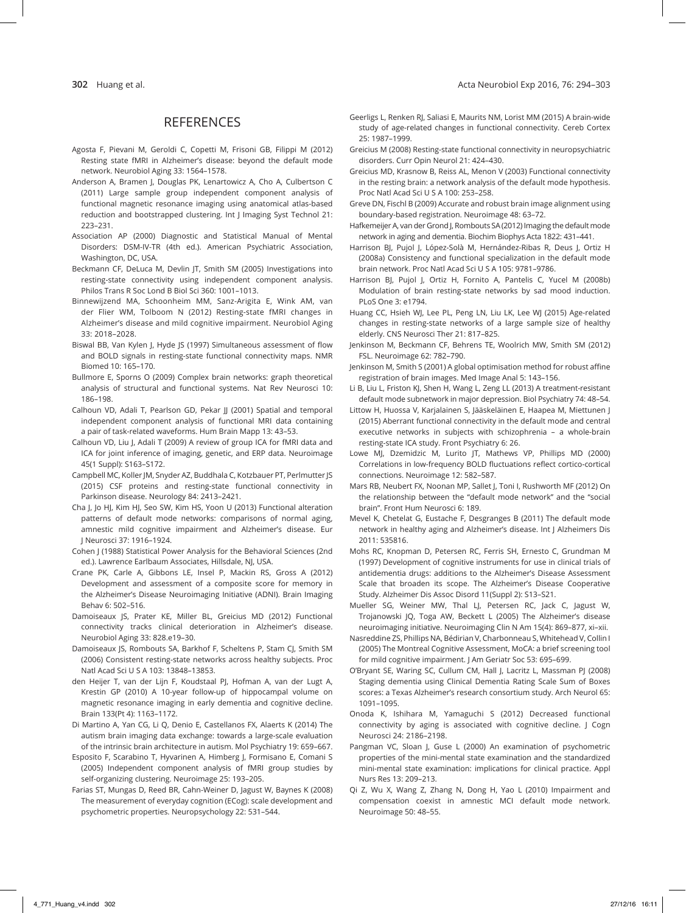# **REFERENCES**

- Agosta F, Pievani M, Geroldi C, Copetti M, Frisoni GB, Filippi M (2012) Resting state fMRI in Alzheimer's disease: beyond the default mode network. Neurobiol Aging 33: 1564–1578.
- Anderson A, Bramen J, Douglas PK, Lenartowicz A, Cho A, Culbertson C (2011) Large sample group independent component analysis of functional magnetic resonance imaging using anatomical atlas-based reduction and bootstrapped clustering. Int J Imaging Syst Technol 21: 223–231.
- Association AP (2000) Diagnostic and Statistical Manual of Mental Disorders: DSM‑IV‑TR (4th ed.). American Psychiatric Association, Washington, DC, USA.
- Beckmann CF, DeLuca M, Devlin JT, Smith SM (2005) Investigations into resting-state connectivity using independent component analysis. Philos Trans R Soc Lond B Biol Sci 360: 1001–1013.
- Binnewijzend MA, Schoonheim MM, Sanz‑Arigita E, Wink AM, van der Flier WM, Tolboom N (2012) Resting‑state fMRI changes in Alzheimer's disease and mild cognitive impairment. Neurobiol Aging 33: 2018–2028.
- Biswal BB, Van Kylen J, Hyde JS (1997) Simultaneous assessment of flow and BOLD signals in resting‑state functional connectivity maps. NMR Biomed 10: 165–170.
- Bullmore E, Sporns O (2009) Complex brain networks: graph theoretical analysis of structural and functional systems. Nat Rev Neurosci 10: 186–198.
- Calhoun VD, Adali T, Pearlson GD, Pekar JJ (2001) Spatial and temporal independent component analysis of functional MRI data containing a pair of task‑related waveforms. Hum Brain Mapp 13: 43–53.
- Calhoun VD, Liu J, Adali T (2009) A review of group ICA for fMRI data and ICA for joint inference of imaging, genetic, and ERP data. Neuroimage 45(1 Suppl): S163–S172.
- Campbell MC, Koller JM, Snyder AZ, Buddhala C, Kotzbauer PT, Perlmutter JS (2015) CSF proteins and resting‑state functional connectivity in Parkinson disease. Neurology 84: 2413–2421.
- Cha J, Jo HJ, Kim HJ, Seo SW, Kim HS, Yoon U (2013) Functional alteration patterns of default mode networks: comparisons of normal aging, amnestic mild cognitive impairment and Alzheimer's disease. Eur J Neurosci 37: 1916–1924.
- Cohen J (1988) Statistical Power Analysis for the Behavioral Sciences (2nd ed.). Lawrence Earlbaum Associates, Hillsdale, NJ, USA.
- Crane PK, Carle A, Gibbons LE, Insel P, Mackin RS, Gross A (2012) Development and assessment of a composite score for memory in the Alzheimer's Disease Neuroimaging Initiative (ADNI). Brain Imaging Behav 6: 502–516.
- Damoiseaux JS, Prater KE, Miller BL, Greicius MD (2012) Functional connectivity tracks clinical deterioration in Alzheimer's disease. Neurobiol Aging 33: 828.e19–30.
- Damoiseaux JS, Rombouts SA, Barkhof F, Scheltens P, Stam CJ, Smith SM (2006) Consistent resting‑state networks across healthy subjects. Proc Natl Acad Sci U S A 103: 13848–13853.
- den Heijer T, van der Lijn F, Koudstaal PJ, Hofman A, van der Lugt A, Krestin GP (2010) A 10‑year follow‑up of hippocampal volume on magnetic resonance imaging in early dementia and cognitive decline. Brain 133(Pt 4): 1163–1172.
- Di Martino A, Yan CG, Li Q, Denio E, Castellanos FX, Alaerts K (2014) The autism brain imaging data exchange: towards a large‑scale evaluation of the intrinsic brain architecture in autism. Mol Psychiatry 19: 659–667.
- Esposito F, Scarabino T, Hyvarinen A, Himberg J, Formisano E, Comani S (2005) Independent component analysis of fMRI group studies by self-organizing clustering. Neuroimage 25: 193-205.
- Farias ST, Mungas D, Reed BR, Cahn‑Weiner D, Jagust W, Baynes K (2008) The measurement of everyday cognition (ECog): scale development and psychometric properties. Neuropsychology 22: 531–544.
- Geerligs L, Renken RJ, Saliasi E, Maurits NM, Lorist MM (2015) A brain‑wide study of age‑related changes in functional connectivity. Cereb Cortex 25: 1987–1999.
- Greicius M (2008) Resting‑state functional connectivity in neuropsychiatric disorders. Curr Opin Neurol 21: 424–430.
- Greicius MD, Krasnow B, Reiss AL, Menon V (2003) Functional connectivity in the resting brain: a network analysis of the default mode hypothesis. Proc Natl Acad Sci U S A 100: 253–258.
- Greve DN, Fischl B (2009) Accurate and robust brain image alignment using boundary‑based registration. Neuroimage 48: 63–72.
- Hafkemeijer A, van der Grond J, Rombouts SA (2012) Imaging the default mode network in aging and dementia. Biochim Biophys Acta 1822: 431–441.
- Harrison BJ, Pujol J, López-Solà M, Hernández-Ribas R, Deus J, Ortiz H (2008a) Consistency and functional specialization in the default mode brain network. Proc Natl Acad Sci U S A 105: 9781–9786.
- Harrison BJ, Pujol J, Ortiz H, Fornito A, Pantelis C, Yucel M (2008b) Modulation of brain resting‑state networks by sad mood induction. PLoS One 3: e1794.
- Huang CC, Hsieh WJ, Lee PL, Peng LN, Liu LK, Lee WJ (2015) Age-related changes in resting‑state networks of a large sample size of healthy elderly. CNS Neurosci Ther 21: 817–825.
- Jenkinson M, Beckmann CF, Behrens TE, Woolrich MW, Smith SM (2012) FSL. Neuroimage 62: 782–790.
- Jenkinson M, Smith S (2001) A global optimisation method for robust affine registration of brain images. Med Image Anal 5: 143–156.
- Li B, Liu L, Friston KJ, Shen H, Wang L, Zeng LL (2013) A treatment-resistant default mode subnetwork in major depression. Biol Psychiatry 74: 48–54.
- Littow H, Huossa V, Karjalainen S, Jääskeläinen E, Haapea M, Miettunen J (2015) Aberrant functional connectivity in the default mode and central executive networks in subjects with schizophrenia – a whole-brain resting‑state ICA study. Front Psychiatry 6: 26.
- Lowe MJ, Dzemidzic M, Lurito JT, Mathews VP, Phillips MD (2000) Correlations in low‑frequency BOLD fluctuations reflect cortico‑cortical connections. Neuroimage 12: 582–587.
- Mars RB, Neubert FX, Noonan MP, Sallet J, Toni I, Rushworth MF (2012) On the relationship between the "default mode network" and the "social brain". Front Hum Neurosci 6: 189.
- Mevel K, Chetelat G, Eustache F, Desgranges B (2011) The default mode network in healthy aging and Alzheimer's disease. Int J Alzheimers Dis 2011: 535816.
- Mohs RC, Knopman D, Petersen RC, Ferris SH, Ernesto C, Grundman M (1997) Development of cognitive instruments for use in clinical trials of antidementia drugs: additions to the Alzheimer's Disease Assessment Scale that broaden its scope. The Alzheimer's Disease Cooperative Study. Alzheimer Dis Assoc Disord 11(Suppl 2): S13–S21.
- Mueller SG, Weiner MW, Thal LJ, Petersen RC, Jack C, Jagust W, Trojanowski JQ, Toga AW, Beckett L (2005) The Alzheimer's disease neuroimaging initiative. Neuroimaging Clin N Am 15(4): 869–877, xi–xii.
- Nasreddine ZS, Phillips NA, Bédirian V, Charbonneau S, Whitehead V, Collin I (2005) The Montreal Cognitive Assessment, MoCA: a brief screening tool for mild cognitive impairment. J Am Geriatr Soc 53: 695-699.
- O'Bryant SE, Waring SC, Cullum CM, Hall J, Lacritz L, Massman PJ (2008) Staging dementia using Clinical Dementia Rating Scale Sum of Boxes scores: a Texas Alzheimer's research consortium study. Arch Neurol 65: 1091–1095.
- Onoda K, Ishihara M, Yamaguchi S (2012) Decreased functional connectivity by aging is associated with cognitive decline. J Cogn Neurosci 24: 2186–2198.
- Pangman VC, Sloan J, Guse L (2000) An examination of psychometric properties of the mini‑mental state examination and the standardized mini‑mental state examination: implications for clinical practice. Appl Nurs Res 13: 209–213.
- Qi Z, Wu X, Wang Z, Zhang N, Dong H, Yao L (2010) Impairment and compensation coexist in amnestic MCI default mode network. Neuroimage 50: 48–55.